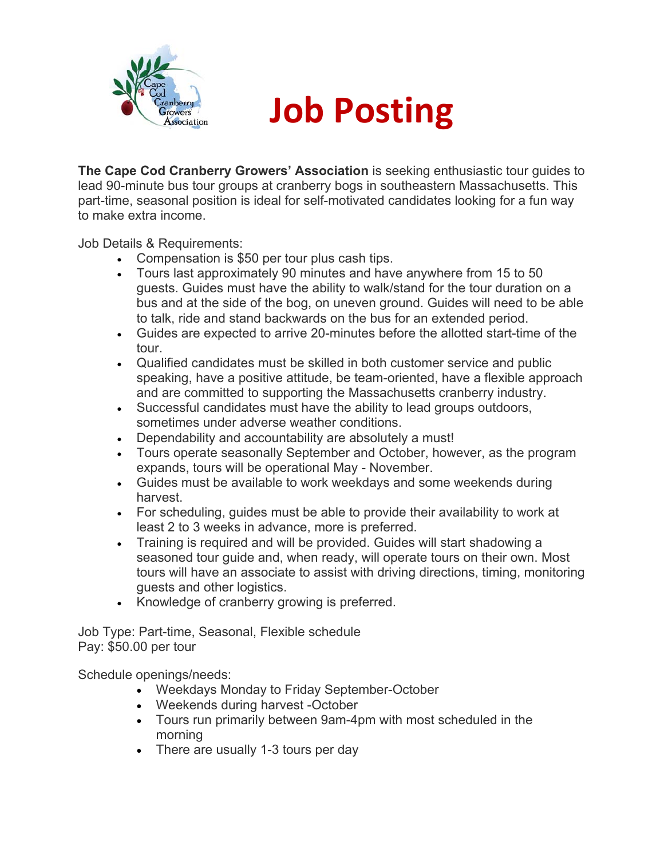

## **Job Posting**

**The Cape Cod Cranberry Growers' Association** is seeking enthusiastic tour guides to lead 90-minute bus tour groups at cranberry bogs in southeastern Massachusetts. This part-time, seasonal position is ideal for self-motivated candidates looking for a fun way to make extra income.

Job Details & Requirements:

- Compensation is \$50 per tour plus cash tips.
- Tours last approximately 90 minutes and have anywhere from 15 to 50 guests. Guides must have the ability to walk/stand for the tour duration on a bus and at the side of the bog, on uneven ground. Guides will need to be able to talk, ride and stand backwards on the bus for an extended period.
- Guides are expected to arrive 20-minutes before the allotted start-time of the tour.
- Qualified candidates must be skilled in both customer service and public speaking, have a positive attitude, be team-oriented, have a flexible approach and are committed to supporting the Massachusetts cranberry industry.
- Successful candidates must have the ability to lead groups outdoors, sometimes under adverse weather conditions.
- Dependability and accountability are absolutely a must!
- Tours operate seasonally September and October, however, as the program expands, tours will be operational May - November.
- Guides must be available to work weekdays and some weekends during harvest.
- For scheduling, guides must be able to provide their availability to work at least 2 to 3 weeks in advance, more is preferred.
- Training is required and will be provided. Guides will start shadowing a seasoned tour guide and, when ready, will operate tours on their own. Most tours will have an associate to assist with driving directions, timing, monitoring guests and other logistics.
- Knowledge of cranberry growing is preferred.

Job Type: Part-time, Seasonal, Flexible schedule Pay: \$50.00 per tour

Schedule openings/needs:

- Weekdays Monday to Friday September-October
- Weekends during harvest -October
- Tours run primarily between 9am-4pm with most scheduled in the morning
- There are usually 1-3 tours per day